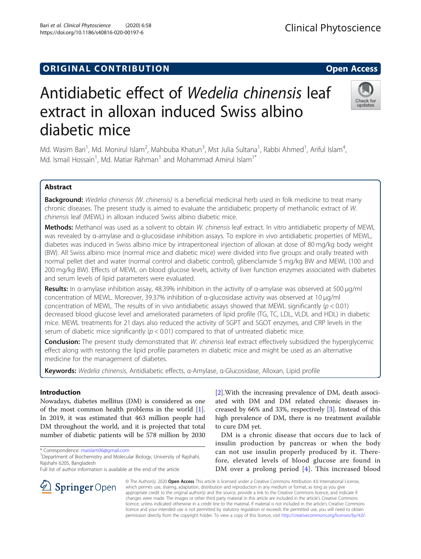## **ORIGINAL CONTRIBUTION CONTRIBUTION**

# Antidiabetic effect of Wedelia chinensis leaf extract in alloxan induced Swiss albino diabetic mice

Md. Wasim Bari<sup>1</sup>, Md. Monirul Islam<sup>2</sup>, Mahbuba Khatun<sup>3</sup>, Mst Julia Sultana<sup>1</sup>, Rabbi Ahmed<sup>1</sup>, Ariful Islam<sup>4</sup> , Md. Ismail Hossain<sup>1</sup>, Md. Matiar Rahman<sup>1</sup> and Mohammad Amirul Islam<sup>1\*</sup>

## Abstract

Background: Wedelia chinensis (W. chinensis) is a beneficial medicinal herb used in folk medicine to treat many chronic diseases. The present study is aimed to evaluate the antidiabetic property of methanolic extract of W. chinensis leaf (MEWL) in alloxan induced Swiss albino diabetic mice.

Methods: Methanol was used as a solvent to obtain W. chinensis leaf extract. In vitro antidiabetic property of MEWL was revealed by α-amylase and α-glucosidase inhibition assays. To explore in vivo antidiabetic properties of MEWL, diabetes was induced in Swiss albino mice by intraperitoneal injection of alloxan at dose of 80 mg/kg body weight (BW). All Swiss albino mice (normal mice and diabetic mice) were divided into five groups and orally treated with normal pellet diet and water (normal control and diabetic control), glibenclamide 5 mg/kg BW and MEWL (100 and 200 mg/kg BW). Effects of MEWL on blood glucose levels, activity of liver function enzymes associated with diabetes and serum levels of lipid parameters were evaluated.

Results: In α-amylase inhibition assay, 48.39% inhibition in the activity of α-amylase was observed at 500 μg/ml concentration of MEWL. Moreover, 39.37% inhibition of α-glucosidase activity was observed at 10 μg/ml concentration of MEWL. The results of in vivo antidiabetic assays showed that MEWL significantly ( $p < 0.01$ ) decreased blood glucose level and ameliorated parameters of lipid profile (TG, TC, LDL, VLDL and HDL) in diabetic mice. MEWL treatments for 21 days also reduced the activity of SGPT and SGOT enzymes, and CRP levels in the serum of diabetic mice significantly  $(p < 0.01)$  compared to that of untreated diabetic mice.

Conclusion: The present study demonstrated that W. chinensis leaf extract effectively subsidized the hyperglycemic effect along with restoring the lipid profile parameters in diabetic mice and might be used as an alternative medicine for the management of diabetes.

Keywords: Wedelia chinensis, Antidiabetic effects, α-Amylase, α-Glucosidase, Alloxan, Lipid profile

## Introduction

Nowadays, diabetes mellitus (DM) is considered as one of the most common health problems in the world [\[1](#page-6-0)]. In 2019, it was estimated that 463 million people had DM throughout the world, and it is projected that total number of diabetic patients will be 578 million by 2030

\* Correspondence: [maislam06@gmail.com](mailto:maislam06@gmail.com) <sup>1</sup>

SpringerOpen

<sup>1</sup> Department of Biochemistry and Molecular Biology, University of Rajshahi, Rajshahi 6205, Bangladesh

Full list of author information is available at the end of the article

[[2\]](#page-6-0).With the increasing prevalence of DM, death associated with DM and DM related chronic diseases increased by 66% and 33%, respectively [[3\]](#page-6-0). Instead of this high prevalence of DM, there is no treatment available to cure DM yet.

DM is a chronic disease that occurs due to lack of insulin production by pancreas or when the body can not use insulin properly produced by it. Therefore, elevated levels of blood glucose are found in DM over a prolong period [[4](#page-6-0)]. This increased blood

© The Author(s). 2020 Open Access This article is licensed under a Creative Commons Attribution 4.0 International License, which permits use, sharing, adaptation, distribution and reproduction in any medium or format, as long as you give appropriate credit to the original author(s) and the source, provide a link to the Creative Commons licence, and indicate if changes were made. The images or other third party material in this article are included in the article's Creative Commons licence, unless indicated otherwise in a credit line to the material. If material is not included in the article's Creative Commons licence and your intended use is not permitted by statutory regulation or exceeds the permitted use, you will need to obtain permission directly from the copyright holder. To view a copy of this licence, visit <http://creativecommons.org/licenses/by/4.0/>.





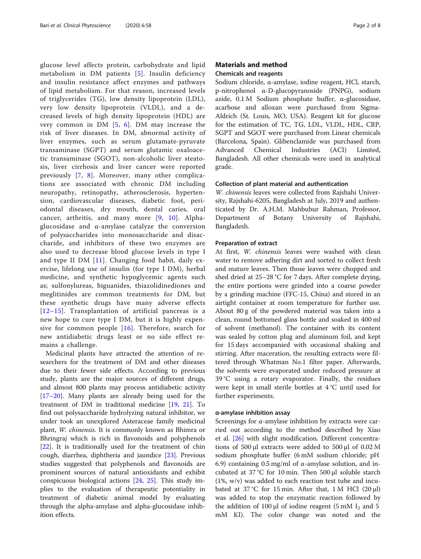glucose level affects protein, carbohydrate and lipid metabolism in DM patients [[5](#page-6-0)]. Insulin deficiency and insulin resistance affect enzymes and pathways of lipid metabolism. For that reason, increased levels of triglycerides (TG), low density lipoprotein (LDL), very low density lipoprotein (VLDL), and a decreased levels of high density lipoprotein (HDL) are very common in DM [[5,](#page-6-0) [6\]](#page-6-0). DM may increase the risk of liver diseases. In DM, abnormal activity of liver enzymes, such as serum glutamate-pyruvate transaminase (SGPT) and serum glutamic oxaloacetic transaminase (SGOT), non-alcoholic liver steatosis, liver cirrhosis and liver cancer were reported previously [[7](#page-6-0), [8](#page-6-0)]. Moreover, many other complications are associated with chronic DM including neuropathy, retinopathy, atherosclerosis, hypertension, cardiovascular diseases, diabetic foot, periodontal diseases, dry mouth, dental caries, oral cancer, arthritis, and many more [[9,](#page-6-0) [10\]](#page-6-0). Alphaglucosidase and α-amylase catalyze the conversion of polysaccharides into monosaccharide and disaccharide, and inhibitors of these two enzymes are also used to decrease blood glucose levels in type I and type II DM  $[11]$  $[11]$  $[11]$ . Changing food habit, daily exercise, lifelong use of insulin (for type I DM), herbal medicine, and synthetic hypoglycemic agents such as; sulfonylureas, biguanides, thiazolidinediones and meglitinides are common treatments for DM, but these synthetic drugs have many adverse effects [[12](#page-7-0)–[15\]](#page-7-0). Transplantation of artificial pancreas is a new hope to cure type I DM, but it is highly expensive for common people [[16](#page-7-0)]. Therefore, search for new antidiabetic drugs least or no side effect remains a challenge.

Medicinal plants have attracted the attention of researchers for the treatment of DM and other diseases due to their fewer side effects. According to previous study, plants are the major sources of different drugs, and almost 800 plants may process antidiabetic activity [[17](#page-7-0)–[20](#page-7-0)]. Many plants are already being used for the treatment of DM in traditional medicine [[19](#page-7-0), [21](#page-7-0)]. To find out polysaccharide hydrolyzing natural inhibitor, we under took an unexplored Asteraceae family medicinal plant, W. chinensis. It is commonly known as Bhimra or Bhringraj which is rich in flavonoids and polyphenols [[22\]](#page-7-0). It is traditionally used for the treatment of chin cough, diarrhea, diphtheria and jaundice [\[23\]](#page-7-0). Previous studies suggested that polyphenols and flavonoids are prominent sources of natural antioxidants and exhibit conspicuous biological actions [\[24](#page-7-0), [25\]](#page-7-0). This study implies to the evaluation of therapeutic potentiality in treatment of diabetic animal model by evaluating through the alpha-amylase and alpha-glucosidase inhibition effects.

## Materials and method Chemicals and reagents

Sodium chloride, α-amylase, iodine reagent, HCl, starch, p-nitrophenol α-D-glucopyranoside (PNPG), sodium azide, 0.1 M Sodium phosphate buffer, α-glucosidase, acarbose and alloxan were purchased from Sigma-Aldrich (St. Louis, MO, USA). Reagent kit for glucose for the estimation of TC, TG, LDL, VLDL, HDL, CRP, SGPT and SGOT were purchased from Linear chemicals (Barcelona, Spain). Glibenclamide was purchased from Advanced Chemical Industries (ACI) Limited, Bangladesh. All other chemicals were used in analytical grade.

#### Collection of plant material and authentication

W. chinensis leaves were collected from Rajshahi University, Rajshahi-6205, Bangladesh at July, 2019 and authenticated by Dr. A.H.M. Mahbubur Rahman, Professor, Department of Botany University of Rajshahi, Bangladesh.

#### Preparation of extract

At first, W. chinensis leaves were washed with clean water to remove adhering dirt and sorted to collect fresh and mature leaves. Then those leaves were chopped and shed dried at 25–28 °C for 7 days. After complete drying, the entire portions were grinded into a coarse powder by a grinding machine (FFC-15, China) and stored in an airtight container at room temperature for further use. About 80 g of the powdered material was taken into a clean, round bottomed glass bottle and soaked in 400 ml of solvent (methanol). The container with its content was sealed by cotton plug and aluminum foil, and kept for 15 days accompanied with occasional shaking and stirring. After maceration, the resulting extracts were filtered through Whatman No.1 filter paper. Afterwards, the solvents were evaporated under reduced pressure at 39 °C using a rotary evaporator. Finally, the residues were kept in small sterile bottles at 4 °C until used for further experiments.

#### α-amylase inhibition assay

Screenings for α-amylase inhibition by extracts were carried out according to the method described by Xiao et al. [\[26](#page-7-0)] with slight modification. Different concentrations of 500 μl extracts were added to 500 μl of 0.02 M sodium phosphate buffer (6 mM sodium chloride; pH 6.9) containing 0.5 mg/ml of α-amylase solution, and incubated at 37 °C for 10 min. Then 500 μl soluble starch (1%, w/v) was added to each reaction test tube and incubated at 37 °C for 15 min. After that, 1 M HCl  $(20 \mu l)$ was added to stop the enzymatic reaction followed by the addition of 100 μl of iodine reagent (5 mM  $I_2$  and 5 mM KI). The color change was noted and the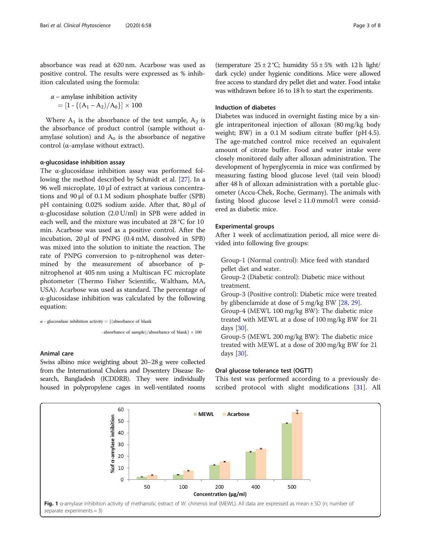<span id="page-2-0"></span>absorbance was read at 620 nm. Acarbose was used as positive control. The results were expressed as % inhibition calculated using the formula:

 $\alpha$  – amylase inhibition activity  $= [1 - {(A_1 - A_2) / A_0}] \times 100$ 

Where  $A_1$  is the absorbance of the test sample,  $A_2$  is the absorbance of product control (sample without αamylase solution) and  $A_0$  is the absorbance of negative control (α-amylase without extract).

#### α-glucosidase inhibition assay

The α-glucosidase inhibition assay was performed following the method described by Schmidt et al. [[27\]](#page-7-0). In a 96 well microplate, 10 μl of extract at various concentrations and 90 μl of 0.1 M sodium phosphate buffer (SPB) pH containing 0.02% sodium azide. After that, 80 μl of α-glucosidase solution (2.0 U/ml) in SPB were added in each well, and the mixture was incubated at 28 °C for 10 min. Acarbose was used as a positive control. After the incubation, 20 μl of PNPG (0.4 mM, dissolved in SPB) was mixed into the solution to initiate the reaction. The rate of PNPG conversion to p-nitrophenol was determined by the measurement of absorbance of pnitrophenol at 405 nm using a Multiscan FC microplate photometer (Thermo Fisher Scientific, Waltham, MA, USA). Acarbose was used as standard. The percentage of α-glucosidase inhibition was calculated by the following equation:

 $\alpha$  – glucosidase inhibition activity = {(absorbance of blank

- absorbance of sample)/absorbance of blank $\} \times 100$ 

#### Animal care

Swiss albino mice weighting about 20–28 g were collected from the International Cholera and Dysentery Disease Research, Bangladesh (ICDDRB). They were individually housed in polypropylene cages in well-ventilated rooms

(temperature  $25 \pm 2$  °C; humidity  $55 \pm 5$ % with 12 h light/ dark cycle) under hygienic conditions. Mice were allowed free access to standard dry pellet diet and water. Food intake was withdrawn before 16 to 18 h to start the experiments.

#### Induction of diabetes

Diabetes was induced in overnight fasting mice by a single intraperitoneal injection of alloxan (80 mg/kg body weight; BW) in a 0.1 M sodium citrate buffer (pH 4.5). The age-matched control mice received an equivalent amount of citrate buffer. Food and water intake were closely monitored daily after alloxan administration. The development of hyperglycemia in mice was confirmed by measuring fasting blood glucose level (tail vein blood) after 48 h of alloxan administration with a portable glucometer (Accu-Chek, Roche, Germany). The animals with fasting blood glucose level  $\geq$  11.0 mmol/l were considered as diabetic mice.

#### Experimental groups

After 1 week of acclimatization period, all mice were divided into following five groups:

Group-1 (Normal control): Mice feed with standard pellet diet and water.

Group-2 (Diabetic control): Diabetic mice without treatment.

Group-3 (Positive control): Diabetic mice were treated by glibenclamide at dose of 5 mg/kg BW [\[28,](#page-7-0) [29\]](#page-7-0).

Group-4 (MEWL 100 mg/kg BW): The diabetic mice treated with MEWL at a dose of 100 mg/kg BW for 21 days [\[30\]](#page-7-0).

Group-5 (MEWL 200 mg/kg BW): The diabetic mice treated with MEWL at a dose of 200 mg/kg BW for 21 days [\[30\]](#page-7-0).

#### Oral glucose tolerance test (OGTT)

This test was performed according to a previously de-scribed protocol with slight modifications [\[31](#page-7-0)]. All

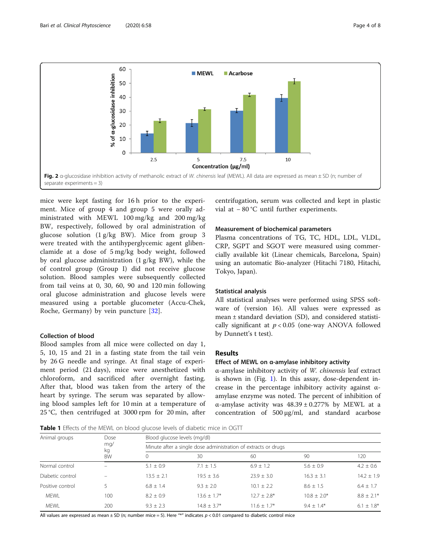<span id="page-3-0"></span>

mice were kept fasting for 16 h prior to the experiment. Mice of group 4 and group 5 were orally administrated with MEWL 100 mg/kg and 200 mg/kg BW, respectively, followed by oral administration of glucose solution (1 g/kg BW). Mice from group 3 were treated with the antihyperglycemic agent glibenclamide at a dose of 5 mg/kg body weight, followed by oral glucose administration (1 g/kg BW), while the of control group (Group I) did not receive glucose solution. Blood samples were subsequently collected from tail veins at 0, 30, 60, 90 and 120 min following oral glucose administration and glucose levels were measured using a portable glucometer (Accu-Chek, Roche, Germany) by vein puncture [[32\]](#page-7-0).

## Collection of blood

Blood samples from all mice were collected on day 1, 5, 10, 15 and 21 in a fasting state from the tail vein by 26 G needle and syringe. At final stage of experiment period (21 days), mice were anesthetized with chloroform, and sacrificed after overnight fasting. After that, blood was taken from the artery of the heart by syringe. The serum was separated by allowing blood samples left for 10 min at a temperature of 25 °C, then centrifuged at 3000 rpm for 20 min, after

centrifugation, serum was collected and kept in plastic vial at − 80 °C until further experiments.

#### Measurement of biochemical parameters

Plasma concentrations of TG, TC, HDL, LDL, VLDL, CRP, SGPT and SGOT were measured using commercially available kit (Linear chemicals, Barcelona, Spain) using an automatic Bio-analyzer (Hitachi 7180, Hitachi, Tokyo, Japan).

#### Statistical analysis

All statistical analyses were performed using SPSS software of (version 16). All values were expressed as mean ± standard deviation (SD), and considered statistically significant at  $p < 0.05$  (one-way ANOVA followed by Dunnett's t test).

#### Results

## Effect of MEWL on α-amylase inhibitory activity

α-amylase inhibitory activity of W. chinensis leaf extract is shown in (Fig. [1\)](#page-2-0). In this assay, dose-dependent increase in the percentage inhibitory activity against αamylase enzyme was noted. The percent of inhibition of α-amylase activity was  $48.39 \pm 0.277\%$  by MEWL at a concentration of 500 μg/ml, and standard acarbose

Table 1 Effects of the MEWL on blood glucose levels of diabetic mice in OGTT

| Animal groups    | Dose<br>mq/<br>kg<br><b>BW</b> | Blood glucose levels (mg/dl)<br>Minute after a single dose administration of extracts or drugs |               |                |                |              |
|------------------|--------------------------------|------------------------------------------------------------------------------------------------|---------------|----------------|----------------|--------------|
|                  |                                |                                                                                                |               |                |                |              |
|                  |                                | Normal control                                                                                 | $\equiv$      | $5.1 + 0.9$    | $7.1 \pm 1.5$  | $6.9 + 1.2$  |
| Diabetic control |                                | $13.5 + 2.1$                                                                                   | $19.5 + 3.6$  | $23.9 \pm 3.0$ | $16.3 \pm 3.1$ | $14.2 + 1.9$ |
| Positive control |                                | $6.8 + 1.4$                                                                                    | $9.3 + 2.0$   | $10.1 + 2.2$   | $8.6 + 1.5$    | $6.4 + 1.7$  |
| <b>MFWI</b>      | 100                            | $8.2 + 0.9$                                                                                    | $13.6 + 1.7*$ | $12.7 + 2.8*$  | $10.8 + 2.0*$  | $8.8 + 2.1*$ |
| <b>MEWL</b>      | 200                            | $9.3 + 2.3$                                                                                    | $14.8 + 3.7*$ | $11.6 + 1.7*$  | $94 + 14*$     | $6.1 + 1.8*$ |

All values are expressed as mean  $\pm$  SD (n; number mice = 5). Here "\*" indicates  $p$  < 0.01 compared to diabetic control mice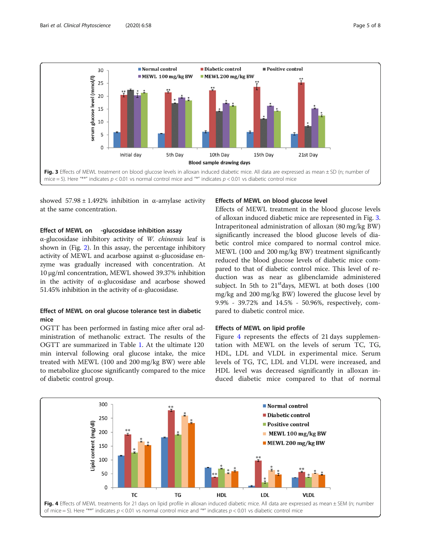

showed  $57.98 \pm 1.492\%$  inhibition in α-amylase activity at the same concentration.

#### Effect of MEWL on -glucosidase inhibition assay

α-glucosidase inhibitory activity of W. chinensis leaf is shown in (Fig. [2](#page-3-0)). In this assay, the percentage inhibitory activity of MEWL and acarbose against  $\alpha$ -glucosidase enzyme was gradually increased with concentration. At 10 μg/ml concentration, MEWL showed 39.37% inhibition in the activity of α-glucosidase and acarbose showed 51.45% inhibition in the activity of α-glucosidase.

## Effect of MEWL on oral glucose tolerance test in diabetic mice

OGTT has been performed in fasting mice after oral administration of methanolic extract. The results of the OGTT are summarized in Table [1.](#page-3-0) At the ultimate 120 min interval following oral glucose intake, the mice treated with MEWL (100 and 200 mg/kg BW) were able to metabolize glucose significantly compared to the mice of diabetic control group.

#### Effects of MEWL on blood glucose level

Effects of MEWL treatment in the blood glucose levels of alloxan induced diabetic mice are represented in Fig. 3. Intraperitoneal administration of alloxan (80 mg/kg BW) significantly increased the blood glucose levels of diabetic control mice compared to normal control mice. MEWL (100 and 200 mg/kg BW) treatment significantly reduced the blood glucose levels of diabetic mice compared to that of diabetic control mice. This level of reduction was as near as glibenclamide administered subject. In 5th to  $21<sup>st</sup>$  days, MEWL at both doses (100 mg/kg and 200 mg/kg BW) lowered the glucose level by 9.9% - 39.72% and 14.5% - 50.96%, respectively, compared to diabetic control mice.

## Effects of MEWL on lipid profile

Figure 4 represents the effects of 21 days supplementation with MEWL on the levels of serum TC, TG, HDL, LDL and VLDL in experimental mice. Serum levels of TG, TC, LDL and VLDL were increased, and HDL level was decreased significantly in alloxan induced diabetic mice compared to that of normal

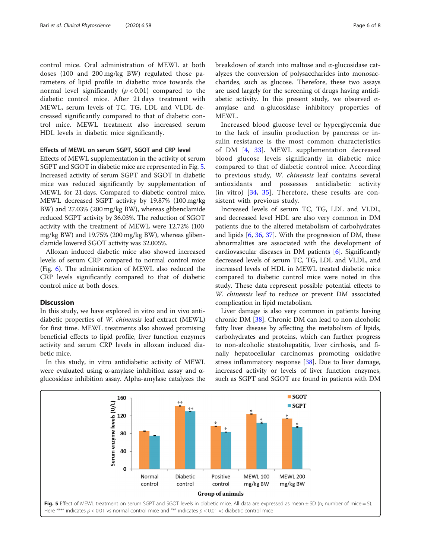control mice. Oral administration of MEWL at both doses (100 and 200 mg/kg BW) regulated those parameters of lipid profile in diabetic mice towards the normal level significantly ( $p < 0.01$ ) compared to the diabetic control mice. After 21 days treatment with MEWL, serum levels of TC, TG, LDL and VLDL decreased significantly compared to that of diabetic control mice. MEWL treatment also increased serum HDL levels in diabetic mice significantly.

#### Effects of MEWL on serum SGPT, SGOT and CRP level

Effects of MEWL supplementation in the activity of serum SGPT and SGOT in diabetic mice are represented in Fig. 5. Increased activity of serum SGPT and SGOT in diabetic mice was reduced significantly by supplementation of MEWL for 21 days. Compared to diabetic control mice, MEWL decreased SGPT activity by 19.87% (100 mg/kg BW) and 27.03% (200 mg/kg BW), whereas glibenclamide reduced SGPT activity by 36.03%. The reduction of SGOT activity with the treatment of MEWL were 12.72% (100 mg/kg BW) and 19.75% (200 mg/kg BW), whereas glibenclamide lowered SGOT activity was 32.005%.

Alloxan induced diabetic mice also showed increased levels of serum CRP compared to normal control mice (Fig. [6](#page-6-0)). The administration of MEWL also reduced the CRP levels significantly compared to that of diabetic control mice at both doses.

#### Discussion

In this study, we have explored in vitro and in vivo antidiabetic properties of W. chinensis leaf extract (MEWL) for first time. MEWL treatments also showed promising beneficial effects to lipid profile, liver function enzymes activity and serum CRP levels in alloxan induced diabetic mice.

In this study, in vitro antidiabetic activity of MEWL were evaluated using α-amylase inhibition assay and αglucosidase inhibition assay. Alpha-amylase catalyzes the breakdown of starch into maltose and α-glucosidase catalyzes the conversion of polysaccharides into monosaccharides, such as glucose. Therefore, these two assays are used largely for the screening of drugs having antidiabetic activity. In this present study, we observed  $\alpha$ amylase and α-glucosidase inhibitory properties of MEWL.

Increased blood glucose level or hyperglycemia due to the lack of insulin production by pancreas or insulin resistance is the most common characteristics of DM [[4](#page-6-0), [33](#page-7-0)]. MEWL supplementation decreased blood glucose levels significantly in diabetic mice compared to that of diabetic control mice. According to previous study, W. chinensis leaf contains several antioxidants and possesses antidiabetic activity (in vitro) [\[34](#page-7-0), [35](#page-7-0)]. Therefore, these results are consistent with previous study.

Increased levels of serum TC, TG, LDL and VLDL, and decreased level HDL are also very common in DM patients due to the altered metabolism of carbohydrates and lipids [[6,](#page-6-0) [36,](#page-7-0) [37\]](#page-7-0). With the progression of DM, these abnormalities are associated with the development of cardiovascular diseases in DM patients [\[6](#page-6-0)]. Significantly decreased levels of serum TC, TG, LDL and VLDL, and increased levels of HDL in MEWL treated diabetic mice compared to diabetic control mice were noted in this study. These data represent possible potential effects to W. chinensis leaf to reduce or prevent DM associated complication in lipid metabolism.

Liver damage is also very common in patients having chronic DM [\[38\]](#page-7-0). Chronic DM can lead to non-alcoholic fatty liver disease by affecting the metabolism of lipids, carbohydrates and proteins, which can further progress to non-alcoholic steatohepatitis, liver cirrhosis, and finally hepatocellular carcinomas promoting oxidative stress inflammatory response [\[38](#page-7-0)]. Due to liver damage, increased activity or levels of liver function enzymes, such as SGPT and SGOT are found in patients with DM

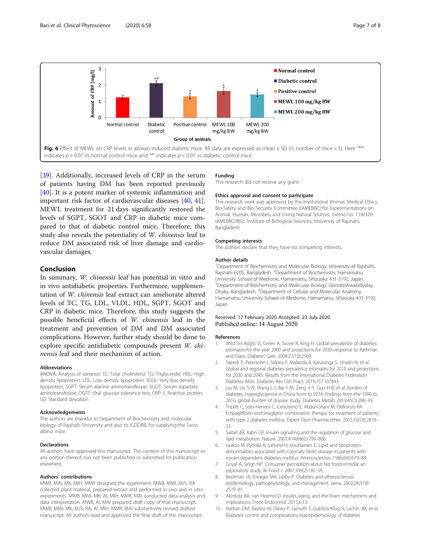

<span id="page-6-0"></span>

[[39\]](#page-7-0). Additionally, increased levels of CRP in the serum of patients having DM has been reported previously [[40\]](#page-7-0). It is a potent marker of systemic inflammation and important risk factor of cardiovascular diseases [[40,](#page-7-0) [41](#page-7-0)]. MEWL treatment for 21 days significantly restored the levels of SGPT, SGOT and CRP in diabetic mice compared to that of diabetic control mice. Therefore, this study also reveals the potentiality of W. chinensis leaf to reduce DM associated risk of liver damage and cardiovascular damages.

## Conclusion

In summary, W. chinensis leaf has potential in vitro and in vivo antidiabetic properties. Furthermore, supplementation of W. chinensis leaf extract can ameliorate altered levels of TC, TG, LDL, VLDL, HDL, SGPT, SGOT and CRP in diabetic mice. Therefore, this study suggests the possible beneficial effects of W. chinensis leaf in the treatment and prevention of DM and DM associated complications. However, further study should be done to explore specific antidiabetic compounds present W. chinensis leaf and their mechanism of action.

#### Abbreviations

ANOVA: Analysis of variance; TC: Total cholesterol; TG: Triglyceride; HDL: High density lipoprotein; LDL: Low density lipoprotein; VLDL: Very low density lipoprotein; SGPT: Serum alanine aminotransferase; SGOT: Serum aspartate aminotransferase; OGTT: Oral glucose tolerance test; CRP: C Reactive protein; SD: Standard deviation

#### Acknowledgements

The authors are thankful to Department of Biochemistry and molecular biology of Rajshahi University and also to ICDDRB, for supplying the Swiss albino mice.

#### Declarations

All authors have approved this manuscript. The content of this manuscript or any portion thereof, has not been published or submitted for publication elsewhere.

#### Authors' contributions

MWB, MAI, MK, MIH, MMR designed the experiment. MWB, MMI, MJS, RA collected plant material, prepared extract and performed in vivo and in vitro experiments. MWB, MMI, MK, AI, MIH, MMR, MAI conducted data analysis and data interpretation. MWB, AI, MAI prepared draft copy of that manuscript. MWB, MMI, MK, MJS, RA, AI, MIH, MMR, MAI substantively revised drafted manuscript. All authors read and approved the final draft of the manuscript.

#### Funding

This research did not receive any grant.

#### Ethics approval and consent to participate

This research work was approved by the Institutional Animal, Medical Ethics, Bio-Safety and Bio-Security Committee (IAMEBBC) for Experimentations on Animal, Human, Microbes, and Living Natural Sources, memo no. 118/320- IAMEBBC/IBSc. Institute of Biological Sciences, University of Rajshahi, Bangladesh.

#### Competing interests

The authors declare that they have no competing interests.

#### Author details

<sup>1</sup>Department of Biochemistry and Molecular Biology, University of Rajshahi, Rajshahi 6205, Bangladesh. <sup>2</sup> Department of Biochemistry, Hamamatsu University School of Medicine, Hamamatsu, Shizuoka 431-3192, Japan. <sup>3</sup>Department of Biochemistry and Molecular Biology, Gonobishwabidyalay, Dhaka, Bangladesh. <sup>4</sup>Department of Cellular and Molecular Anatomy Hamamatsu University School of Medicine, Hamamatsu, Shizuoka 431-3192, Japan.

#### Received: 17 February 2020 Accepted: 23 July 2020 Published online: 14 August 2020

#### References

- 1. Wild SH, Roglic G, Green A, Sicree R, King H. Global prevalence of diabetes: estimates for the year 2000 and projections for 2030: response to Rathman and Giani. Diabetes Care. 2004;27(10):2569.
- 2. Saeedi P, Petersohn I, Salpea P, Malanda B, Karuranga S, Unwin N, et al. Global and regional diabetes prevalence estimates for 2019 and projections for 2030 and 2045: Results from the International Diabetes Federation Diabetes Atlas. Diabetes Res Clin Pract. 2019;157:107843.
- 3. Liu M, Liu S-W, Wang L-J, Bai Y-M, Zeng X-Y, Guo H-B, et al. Burden of diabetes, hyperglycaemia in China from to 2016: findings from the 1990 to 2016, global burden of disease study. Diabetes Metab. 2019;45(3):286–93.
- 4. Triplitt C, Solis-Herrera C, Cersosimo E, Abdul-Ghani M, Defronzo RA. Empagliflozin and linagliptin combination therapy for treatment of patients with type 2 diabetes mellitus. Expert Opin Pharmacother. 2015;16(18):2819– 33.
- 5. Saltiel AR, Kahn CR. Insulin signalling and the regulation of glucose and lipid metabolism. Nature. 2001;414(6865):799–806.
- 6. Laakso M, Pyörälä K, Sarlund H, Voutilainen E. Lipid and lipoprotein abnormalities associated with coronary heart disease in patients with insulin-dependent diabetes mellitus. Arteriosclerosis. 1986;6(6):679–84.
- 7. Goyal A, Singh NP. Consumer perception about fast food in India: an exploratory study. Br Food J. 2007;109(2):182–95.
- 8. Beckman JA, Creager MA, Libby P. Diabetes and atherosclerosis: epidemiology, pathophysiology, and management. Jama. 2002;287(19): 2570–81.
- 9. Akintola AA, van Heemst D. Insulin, aging, and the brain: mechanisms and implications. Front Endocrinol. 2015;6:13.
- 10. Nathan DM, Bayless M, Cleary P, Genuth S, Gubitosi-Klug R, Lachin JM, et al. Diabetes control and complications trial/epidemiology of diabetes